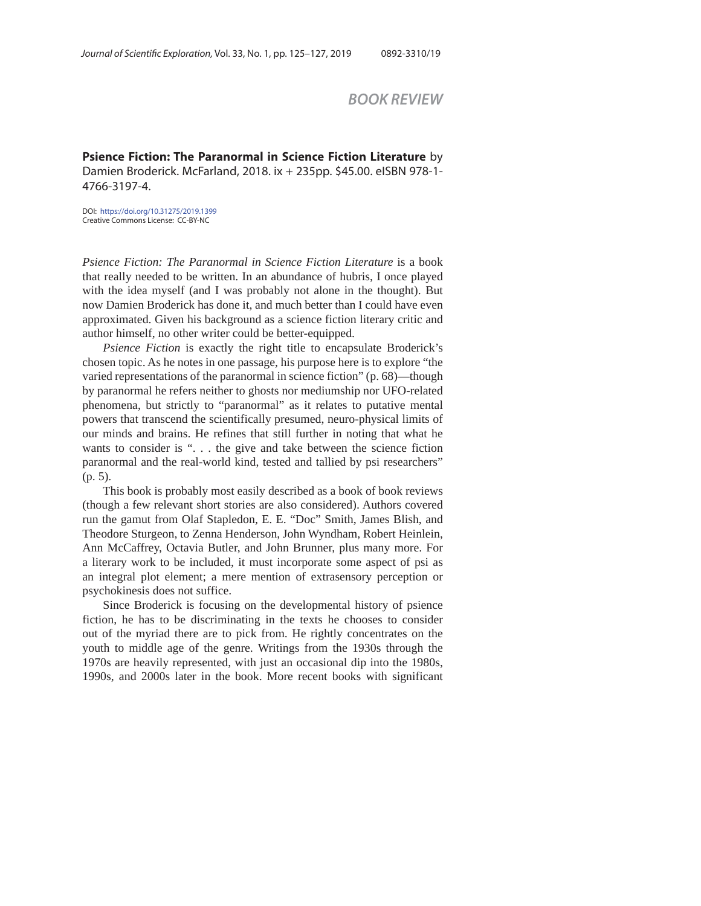*BOOK REVIEW*

**Psience Fiction: The Paranormal in Science Fiction Literature** by Damien Broderick. McFarland, 2018. ix + 235pp. \$45.00. eISBN 978-1- 4766-3197-4.

DOI: https://doi.org/10.31275/2019.1399 Creative Commons License: CC-BY-NC

*Psience Fiction: The Paranormal in Science Fiction Literature* is a book that really needed to be written. In an abundance of hubris, I once played with the idea myself (and I was probably not alone in the thought). But now Damien Broderick has done it, and much better than I could have even approximated. Given his background as a science fiction literary critic and author himself, no other writer could be better-equipped.

*Psience Fiction* is exactly the right title to encapsulate Broderick's chosen topic. As he notes in one passage, his purpose here is to explore "the varied representations of the paranormal in science fiction" (p. 68)—though by paranormal he refers neither to ghosts nor mediumship nor UFO-related phenomena, but strictly to "paranormal" as it relates to putative mental powers that transcend the scientifically presumed, neuro-physical limits of our minds and brains. He refines that still further in noting that what he wants to consider is ". . . the give and take between the science fiction paranormal and the real-world kind, tested and tallied by psi researchers" (p. 5).

This book is probably most easily described as a book of book reviews (though a few relevant short stories are also considered). Authors covered run the gamut from Olaf Stapledon, E. E. "Doc" Smith, James Blish, and Theodore Sturgeon, to Zenna Henderson, John Wyndham, Robert Heinlein, Ann McCaffrey, Octavia Butler, and John Brunner, plus many more. For a literary work to be included, it must incorporate some aspect of psi as an integral plot element; a mere mention of extrasensory perception or psychokinesis does not suffice.

Since Broderick is focusing on the developmental history of psience fiction, he has to be discriminating in the texts he chooses to consider out of the myriad there are to pick from. He rightly concentrates on the youth to middle age of the genre. Writings from the 1930s through the 1970s are heavily represented, with just an occasional dip into the 1980s, 1990s, and 2000s later in the book. More recent books with significant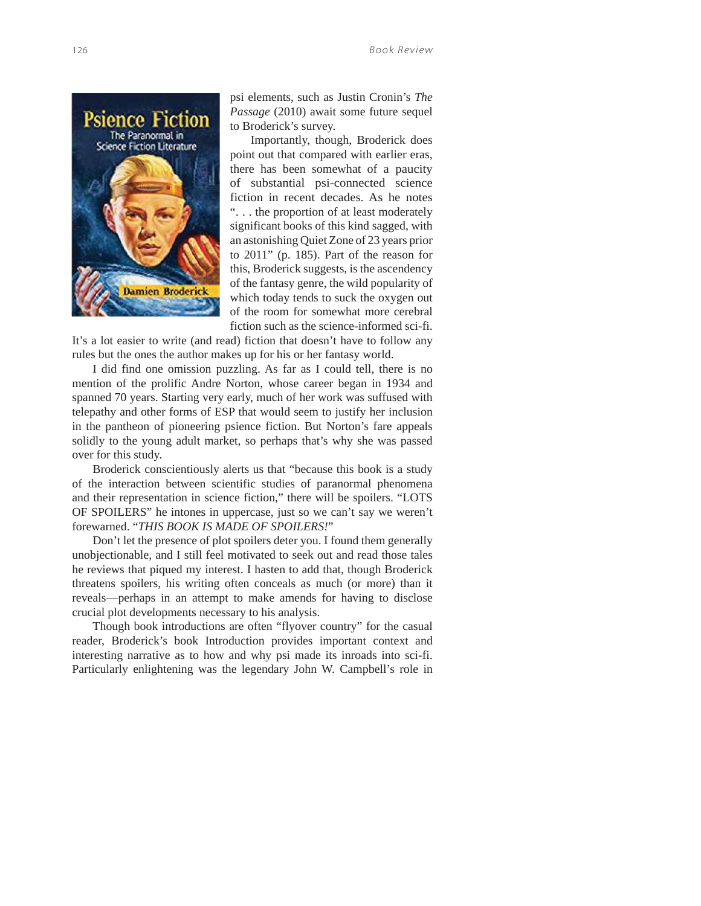

psi elements, such as Justin Cronin's *The Passage* (2010) await some future sequel to Broderick's survey.

Importantly, though, Broderick does point out that compared with earlier eras, there has been somewhat of a paucity of substantial psi-connected science fiction in recent decades. As he notes ". . . the proportion of at least moderately significant books of this kind sagged, with an astonishing Quiet Zone of 23 years prior to 2011" (p. 185). Part of the reason for this, Broderick suggests, is the ascendency of the fantasy genre, the wild popularity of which today tends to suck the oxygen out of the room for somewhat more cerebral fiction such as the science-informed sci-fi.

It's a lot easier to write (and read) fiction that doesn't have to follow any rules but the ones the author makes up for his or her fantasy world.

I did find one omission puzzling. As far as I could tell, there is no mention of the prolific Andre Norton, whose career began in 1934 and spanned 70 years. Starting very early, much of her work was suffused with telepathy and other forms of ESP that would seem to justify her inclusion in the pantheon of pioneering psience fiction. But Norton's fare appeals solidly to the young adult market, so perhaps that's why she was passed over for this study.

Broderick conscientiously alerts us that "because this book is a study of the interaction between scientific studies of paranormal phenomena and their representation in science fiction," there will be spoilers. "LOTS OF SPOILERS" he intones in uppercase, just so we can't say we weren't forewarned. "*THIS BOOK IS MADE OF SPOILERS!*"

Don't let the presence of plot spoilers deter you. I found them generally unobjectionable, and I still feel motivated to seek out and read those tales he reviews that piqued my interest. I hasten to add that, though Broderick threatens spoilers, his writing often conceals as much (or more) than it reveals—perhaps in an attempt to make amends for having to disclose crucial plot developments necessary to his analysis.

Though book introductions are often "flyover country" for the casual reader, Broderick's book Introduction provides important context and interesting narrative as to how and why psi made its inroads into sci-fi. Particularly enlightening was the legendary John W. Campbell's role in